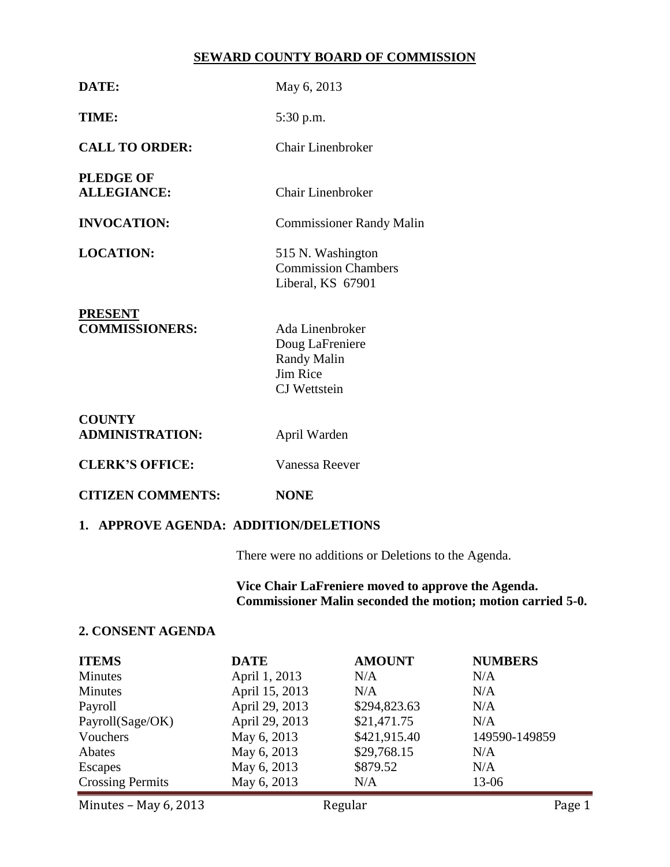#### **SEWARD COUNTY BOARD OF COMMISSION**

| DATE:                                   | May 6, 2013                                                                          |  |  |
|-----------------------------------------|--------------------------------------------------------------------------------------|--|--|
| TIME:                                   | 5:30 p.m.                                                                            |  |  |
| <b>CALL TO ORDER:</b>                   | Chair Linenbroker                                                                    |  |  |
| <b>PLEDGE OF</b><br><b>ALLEGIANCE:</b>  | Chair Linenbroker                                                                    |  |  |
| <b>INVOCATION:</b>                      | <b>Commissioner Randy Malin</b>                                                      |  |  |
| <b>LOCATION:</b>                        | 515 N. Washington<br><b>Commission Chambers</b><br>Liberal, KS 67901                 |  |  |
| <b>PRESENT</b><br><b>COMMISSIONERS:</b> | Ada Linenbroker<br>Doug LaFreniere<br>Randy Malin<br>Jim Rice<br><b>CJ</b> Wettstein |  |  |
| <b>COUNTY</b><br><b>ADMINISTRATION:</b> | April Warden                                                                         |  |  |
| <b>CLERK'S OFFICE:</b>                  | Vanessa Reever                                                                       |  |  |

# **CITIZEN COMMENTS: NONE**

### **1. APPROVE AGENDA: ADDITION/DELETIONS**

There were no additions or Deletions to the Agenda.

**Vice Chair LaFreniere moved to approve the Agenda. Commissioner Malin seconded the motion; motion carried 5-0.**

#### **2. CONSENT AGENDA**

| <b>ITEMS</b>            | <b>DATE</b>    | <b>AMOUNT</b> | <b>NUMBERS</b> |
|-------------------------|----------------|---------------|----------------|
| <b>Minutes</b>          | April 1, 2013  | N/A           | N/A            |
| <b>Minutes</b>          | April 15, 2013 | N/A           | N/A            |
| Payroll                 | April 29, 2013 | \$294,823.63  | N/A            |
| Payroll(Sage/OK)        | April 29, 2013 | \$21,471.75   | N/A            |
| Vouchers                | May 6, 2013    | \$421,915.40  | 149590-149859  |
| Abates                  | May 6, 2013    | \$29,768.15   | N/A            |
| <b>Escapes</b>          | May 6, 2013    | \$879.52      | N/A            |
| <b>Crossing Permits</b> | May 6, 2013    | N/A           | 13-06          |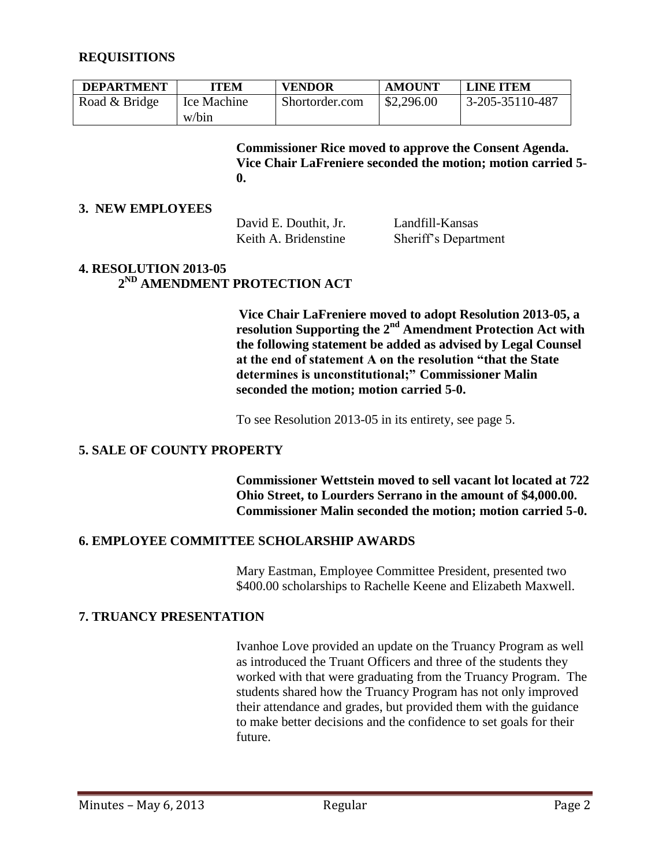#### **REQUISITIONS**

| <b>DEPARTMENT</b> | <b>ITEM</b> | <b>VENDOR</b>  | <b>AMOUNT</b> | <b>LINE ITEM</b>        |
|-------------------|-------------|----------------|---------------|-------------------------|
| Road & Bridge     | Ice Machine | Shortorder.com | \$2,296.00    | $3 - 205 - 35110 - 487$ |
|                   | w/bin       |                |               |                         |

**Commissioner Rice moved to approve the Consent Agenda. Vice Chair LaFreniere seconded the motion; motion carried 5- 0.**

#### **3. NEW EMPLOYEES**

David E. Douthit, Jr. Landfill-Kansas

Keith A. Bridenstine Sheriff's Department

#### **4. RESOLUTION 2013-05 2 ND AMENDMENT PROTECTION ACT**

**Vice Chair LaFreniere moved to adopt Resolution 2013-05, a resolution Supporting the 2nd Amendment Protection Act with the following statement be added as advised by Legal Counsel at the end of statement A on the resolution "that the State determines is unconstitutional;" Commissioner Malin seconded the motion; motion carried 5-0.** 

To see Resolution 2013-05 in its entirety, see page 5.

#### **5. SALE OF COUNTY PROPERTY**

**Commissioner Wettstein moved to sell vacant lot located at 722 Ohio Street, to Lourders Serrano in the amount of \$4,000.00. Commissioner Malin seconded the motion; motion carried 5-0.**

#### **6. EMPLOYEE COMMITTEE SCHOLARSHIP AWARDS**

Mary Eastman, Employee Committee President, presented two \$400.00 scholarships to Rachelle Keene and Elizabeth Maxwell.

#### **7. TRUANCY PRESENTATION**

Ivanhoe Love provided an update on the Truancy Program as well as introduced the Truant Officers and three of the students they worked with that were graduating from the Truancy Program. The students shared how the Truancy Program has not only improved their attendance and grades, but provided them with the guidance to make better decisions and the confidence to set goals for their future.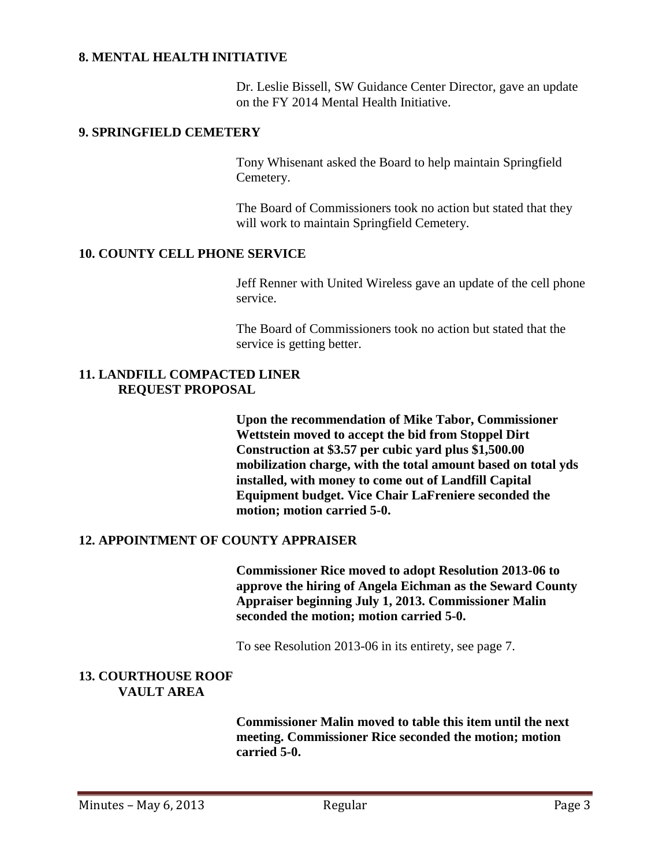#### **8. MENTAL HEALTH INITIATIVE**

Dr. Leslie Bissell, SW Guidance Center Director, gave an update on the FY 2014 Mental Health Initiative.

#### **9. SPRINGFIELD CEMETERY**

Tony Whisenant asked the Board to help maintain Springfield Cemetery.

The Board of Commissioners took no action but stated that they will work to maintain Springfield Cemetery.

#### **10. COUNTY CELL PHONE SERVICE**

Jeff Renner with United Wireless gave an update of the cell phone service.

The Board of Commissioners took no action but stated that the service is getting better.

#### **11. LANDFILL COMPACTED LINER REQUEST PROPOSAL**

**Upon the recommendation of Mike Tabor, Commissioner Wettstein moved to accept the bid from Stoppel Dirt Construction at \$3.57 per cubic yard plus \$1,500.00 mobilization charge, with the total amount based on total yds installed, with money to come out of Landfill Capital Equipment budget. Vice Chair LaFreniere seconded the motion; motion carried 5-0.**

#### **12. APPOINTMENT OF COUNTY APPRAISER**

**Commissioner Rice moved to adopt Resolution 2013-06 to approve the hiring of Angela Eichman as the Seward County Appraiser beginning July 1, 2013. Commissioner Malin seconded the motion; motion carried 5-0.**

To see Resolution 2013-06 in its entirety, see page 7.

#### **13. COURTHOUSE ROOF VAULT AREA**

**Commissioner Malin moved to table this item until the next meeting. Commissioner Rice seconded the motion; motion carried 5-0.**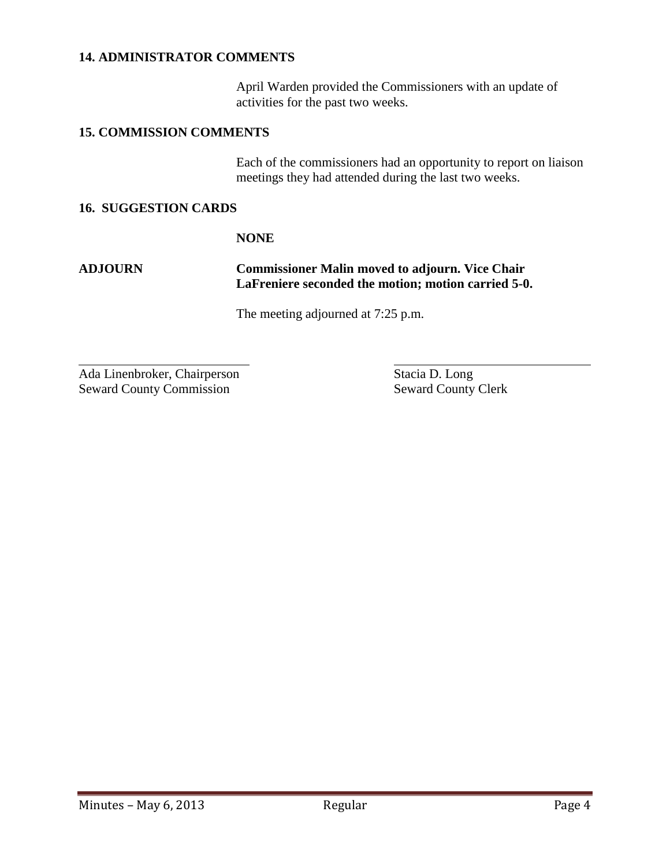#### **14. ADMINISTRATOR COMMENTS**

April Warden provided the Commissioners with an update of activities for the past two weeks.

#### **15. COMMISSION COMMENTS**

Each of the commissioners had an opportunity to report on liaison meetings they had attended during the last two weeks.

#### **16. SUGGESTION CARDS**

#### **NONE**

 $\overline{a}$ 

#### **ADJOURN Commissioner Malin moved to adjourn. Vice Chair LaFreniere seconded the motion; motion carried 5-0.**

The meeting adjourned at 7:25 p.m.

Ada Linenbroker, Chairperson Stacia D. Long Seward County Commission<br>
Seward County Clerk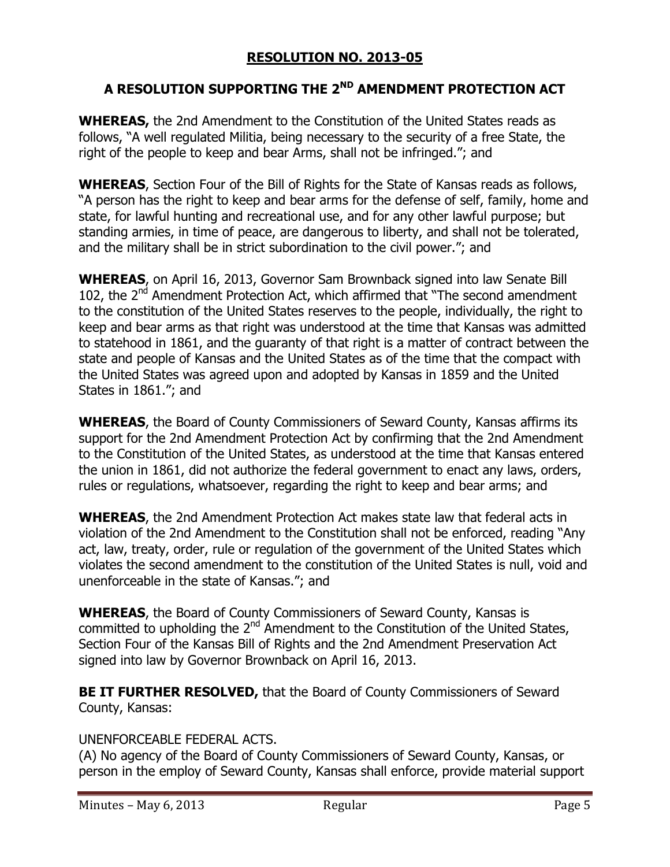# **RESOLUTION NO. 2013-05**

# **A RESOLUTION SUPPORTING THE 2ND AMENDMENT PROTECTION ACT**

**WHEREAS,** the 2nd Amendment to the Constitution of the United States reads as follows, "A well regulated Militia, being necessary to the security of a free State, the right of the people to keep and bear Arms, shall not be infringed."; and

**WHEREAS**, Section Four of the Bill of Rights for the State of Kansas reads as follows, "A person has the right to keep and bear arms for the defense of self, family, home and state, for lawful hunting and recreational use, and for any other lawful purpose; but standing armies, in time of peace, are dangerous to liberty, and shall not be tolerated, and the military shall be in strict subordination to the civil power."; and

**WHEREAS**, on April 16, 2013, Governor Sam Brownback signed into law Senate Bill 102, the  $2<sup>nd</sup>$  Amendment Protection Act, which affirmed that "The second amendment to the constitution of the United States reserves to the people, individually, the right to keep and bear arms as that right was understood at the time that Kansas was admitted to statehood in 1861, and the guaranty of that right is a matter of contract between the state and people of Kansas and the United States as of the time that the compact with the United States was agreed upon and adopted by Kansas in 1859 and the United States in 1861."; and

**WHEREAS**, the Board of County Commissioners of Seward County, Kansas affirms its support for the 2nd Amendment Protection Act by confirming that the 2nd Amendment to the Constitution of the United States, as understood at the time that Kansas entered the union in 1861, did not authorize the federal government to enact any laws, orders, rules or regulations, whatsoever, regarding the right to keep and bear arms; and

**WHEREAS**, the 2nd Amendment Protection Act makes state law that federal acts in violation of the 2nd Amendment to the Constitution shall not be enforced, reading "Any act, law, treaty, order, rule or regulation of the government of the United States which violates the second amendment to the constitution of the United States is null, void and unenforceable in the state of Kansas."; and

**WHEREAS**, the Board of County Commissioners of Seward County, Kansas is committed to upholding the 2nd Amendment to the Constitution of the United States, Section Four of the Kansas Bill of Rights and the 2nd Amendment Preservation Act signed into law by Governor Brownback on April 16, 2013.

**BE IT FURTHER RESOLVED, that the Board of County Commissioners of Seward** County, Kansas:

## UNENFORCEABLE FEDERAL ACTS.

(A) No agency of the Board of County Commissioners of Seward County, Kansas, or person in the employ of Seward County, Kansas shall enforce, provide material support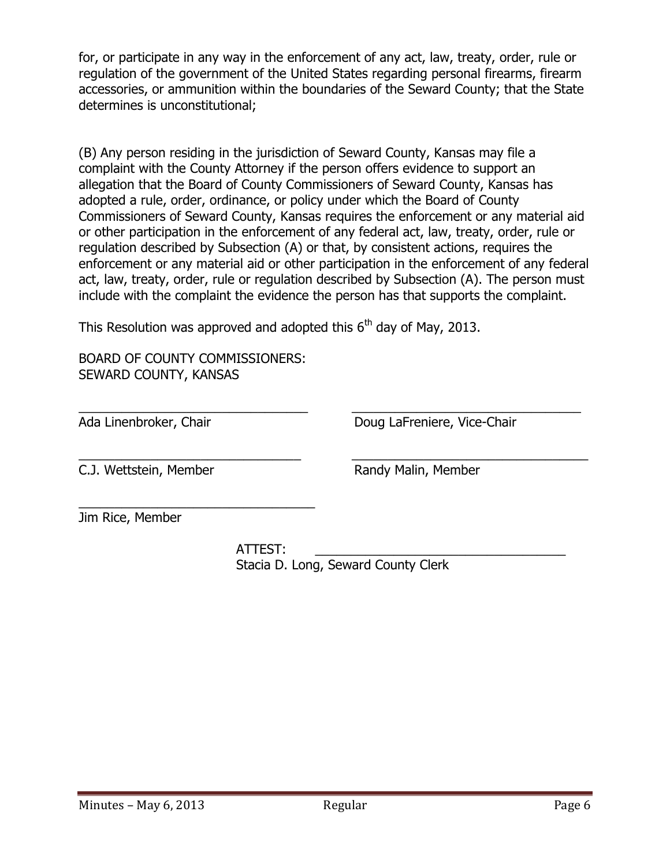for, or participate in any way in the enforcement of any act, law, treaty, order, rule or regulation of the government of the United States regarding personal firearms, firearm accessories, or ammunition within the boundaries of the Seward County; that the State determines is unconstitutional;

(B) Any person residing in the jurisdiction of Seward County, Kansas may file a complaint with the County Attorney if the person offers evidence to support an allegation that the Board of County Commissioners of Seward County, Kansas has adopted a rule, order, ordinance, or policy under which the Board of County Commissioners of Seward County, Kansas requires the enforcement or any material aid or other participation in the enforcement of any federal act, law, treaty, order, rule or regulation described by Subsection (A) or that, by consistent actions, requires the enforcement or any material aid or other participation in the enforcement of any federal act, law, treaty, order, rule or regulation described by Subsection (A). The person must include with the complaint the evidence the person has that supports the complaint.

 $\overline{a_1}$  , and the set of the set of the set of the set of the set of the set of the set of the set of the set of the set of the set of the set of the set of the set of the set of the set of the set of the set of the se

 $\overline{a_1}$  , and the set of the set of the set of the set of the set of the set of the set of the set of the set of the set of the set of the set of the set of the set of the set of the set of the set of the set of the se

This Resolution was approved and adopted this  $6<sup>th</sup>$  day of May, 2013.

BOARD OF COUNTY COMMISSIONERS: SEWARD COUNTY, KANSAS

\_\_\_\_\_\_\_\_\_\_\_\_\_\_\_\_\_\_\_\_\_\_\_\_\_\_\_\_\_\_\_\_\_

Ada Linenbroker, Chair **Doug LaFreniere, Vice-Chair** Doug LaFreniere, Vice-Chair

C.J. Wettstein, Member Randy Malin, Member

Jim Rice, Member

 ATTEST: \_\_\_\_\_\_\_\_\_\_\_\_\_\_\_\_\_\_\_\_\_\_\_\_\_\_\_\_\_\_\_\_\_\_\_ Stacia D. Long, Seward County Clerk